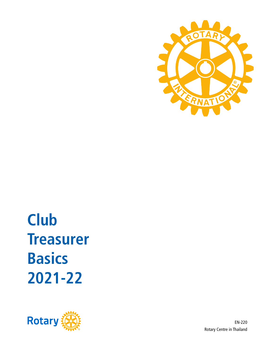

**2021-22 Basics Treasurer Club**



EN-220 Rotary Centre in Thailand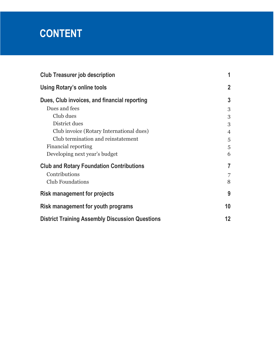# **CONTENT**

| <b>Club Treasurer job description</b>                  | 1              |
|--------------------------------------------------------|----------------|
| <b>Using Rotary's online tools</b>                     | $\mathbf{2}$   |
| Dues, Club invoices, and financial reporting           | $\mathbf{3}$   |
| Dues and fees                                          | 3              |
| Club dues                                              | 3              |
| District dues                                          | 3              |
| Club invoice (Rotary International dues)               | $\overline{4}$ |
| Club termination and reinstatement                     | 5              |
| Financial reporting                                    | 5              |
| Developing next year's budget                          | 6              |
| <b>Club and Rotary Foundation Contributions</b>        | $\overline{7}$ |
| Contributions                                          | 7              |
| <b>Club Foundations</b>                                | 8              |
| <b>Risk management for projects</b>                    | 9              |
| Risk management for youth programs                     | 10             |
| <b>District Training Assembly Discussion Questions</b> | 12             |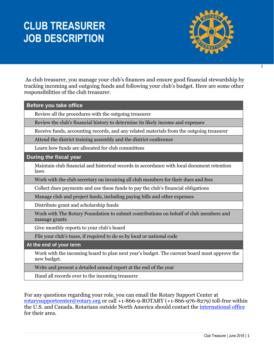# **CLUB TREASURER JOB DESCRIPTION**



 $\overline{\mathsf{I}}$ 

As club treasurer, you manage your club's finances and ensure good financial stewardship by tracking incoming and outgoing funds and following your club's budget. Here are some other responsibilities of the club treasurer.

| <b>Before you take office</b>                                                                              |
|------------------------------------------------------------------------------------------------------------|
| Review all the procedures with the outgoing treasurer                                                      |
| Review the club's financial history to determine its likely income and expenses                            |
| Receive funds, accounting records, and any related materials from the outgoing treasurer                   |
| Attend the district training assembly and the district conference                                          |
| Learn how funds are allocated for club committees                                                          |
| During the fiscal year                                                                                     |
| Maintain club financial and historical records in accordance with local document retention<br>laws         |
| Work with the club secretary on invoicing all club members for their dues and fees                         |
| Collect dues payments and use these funds to pay the club's financial obligations                          |
| Manage club and project funds, including paying bills and other expenses                                   |
| Distribute grant and scholarship funds                                                                     |
| Work with The Rotary Foundation to submit contributions on behalf of club members and<br>manage grants     |
| Give monthly reports to your club's board                                                                  |
| File your club's taxes, if required to do so by local or national code                                     |
| At the end of your term                                                                                    |
| Work with the incoming board to plan next year's budget. The current board must approve the<br>new budget. |
| Write and present a detailed annual report at the end of the year                                          |
| Hand all records over to the incoming treasurer                                                            |

For any questions regarding your role, you can email the Rotary Support Center at [rotarysupportcenter@rotary.org](mailto:rotarysupportcenter@rotary.org) or call +1-866-9-ROTARY (+1-866-976-8279) toll-free within the U.S. and Canada. Rotarians outside North America should contact the [international office](https://my.rotary.org/en/international-offices) for their area.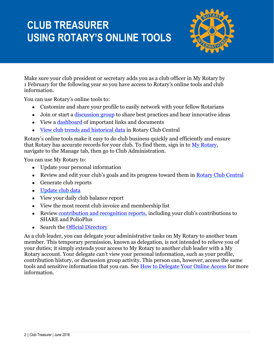# **CLUB TREASURER USING ROTARY'S ONLINE TOOLS**



Make sure your club president or secretary adds you as a club officer in My Rotary by 1 February for the following year so you have access to Rotary's online tools and club information.

You can use Rotary's online tools to:

- Customize and share your profile to easily network with your fellow Rotarians
- Join or start a [discussion group](https://www.rotary.org/myrotary/en/exchange-ideas/groups) to share best practices and hear innovative ideas
- View a [dashboard](http://www.rotary.org/myrotary) of important links and documents
- [View club trends and historical data](http://www.rotary.org/clubcentral) in Rotary Club Central

Rotary's online tools make it easy to do club business quickly and efficiently and ensure that Rotary has accurate records for your club. To find them, sign in to My [Rotary,](https://my.rotary.org/en) navigate to the Manage tab, then go to Club Administration.

You can use My Rotary to:

- Update your personal information
- Review and edit your club's goals and its progress toward them in [Rotary Club Central](https://www.rotary.org/myrotary/en/secure/13301)
- Generate club reports
- [Update club data](https://www.rotary.org/myrotary/en/document/how-update-club-data)
- View your daily club balance report
- View the most recent club invoice and membership list
- Review [contribution and recognition reports](https://my.rotary.org/en/manage/club-district-administration/reports), including your club's contributions to SHARE and PolioPlus
- Search the [Official Directory](https://www.rotary.org/myrotary/en/secure/13011)

As a club leader, you can delegate your administrative tasks on My Rotary to another team member. This temporary permission, known as delegation, is not intended to relieve you of your duties; it simply extends your access to My Rotary to another club leader with a My Rotary account. Your delegate can't view your personal information, such as your profile, contribution history, or discussion group activity. This person can, however, access the same tools and sensitive information that you can. See [How to Delegate Your Online Access](https://my.rotary.org/en/document/how-delegate-your-online-access) for more information.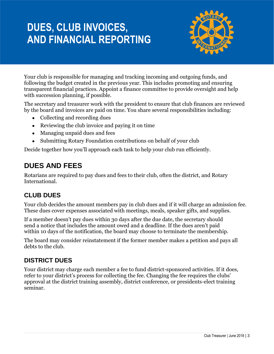# **DUES, CLUB INVOICES, AND FINANCIAL REPORTING**



Your club is responsible for managing and tracking incoming and outgoing funds, and following the budget created in the previous year. This includes promoting and ensuring transparent financial practices. Appoint a finance committee to provide oversight and help with succession planning, if possible.

The secretary and treasurer work with the president to ensure that club finances are reviewed by the board and invoices are paid on time. You share several responsibilities including:

- Collecting and recording dues
- Reviewing the club invoice and paying it on time
- Managing unpaid dues and fees
- Submitting Rotary Foundation contributions on behalf of your club

Decide together how you'll approach each task to help your club run efficiently.

### **DUES AND FEES**

Rotarians are required to pay dues and fees to their club, often the district, and Rotary International.

### **CLUB DUES**

Your club decides the amount members pay in club dues and if it will charge an admission fee. These dues cover expenses associated with meetings, meals, speaker gifts, and supplies.

If a member doesn't pay dues within 30 days after the due date, the secretary should send a notice that includes the amount owed and a deadline. If the dues aren't paid within 10 days of the notification, the board may choose to terminate the membership.

The board may consider reinstatement if the former member makes a petition and pays all debts to the club.

### **DISTRICT DUES**

Your district may charge each member a fee to fund district-sponsored activities. If it does, refer to your district's process for collecting the fee. Changing the fee requires the clubs' approval at the district training assembly, district conference, or presidents-elect training seminar.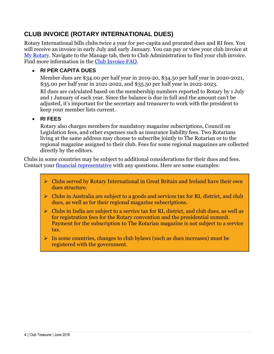### **CLUB INVOICE (ROTARY INTERNATIONAL DUES)**

Rotary International bills clubs twice a year for per-capita and prorated dues and RI fees. You will receive an invoice in early July and early January. You can pay or view your club invoice at [My Rotary.](https://my.rotary.org/en) Navigate to the Manage tab, then to Club Administration to find your club invoice. Find more information in the [Club Invoice FAQ.](https://my.rotary.org/en/club-invoice-faq)

#### • **RI PER CAPITA DUES**

Member dues are \$34.00 per half year in 2019-20, \$34.50 per half year in 2020-2021, \$35.00 per half year in 2021-2022, and \$35.50 per half year in 2022-2023.

RI dues are calculated based on the membership numbers reported to Rotary by 1 July and 1 January of each year. Since the balance is due in full and the amount can't be adjusted, it's important for the secretary and treasurer to work with the president to keep your member lists current.

#### • **RI FEES**

Rotary also charges members for mandatory magazine subscriptions, Council on Legislation fees, and other expenses such as insurance liability fees. Two Rotarians living at the same address may choose to subscribe jointly to The Rotarian or to the regional magazine assigned to their club. Fees for some regional magazines are collected directly by the editors.

Clubs in some countries may be subject to additional considerations for their dues and fees. Contact your [financial representative](https://my.rotary.org/en/contact/representatives) with any questions. Here are some examples:

- ➢ Clubs served by Rotary International in Great Britain and Ireland have their own dues structure.
- ➢ Clubs in Australia are subject to a goods and services tax for RI, district, and club dues, as well as for their regional magazine subscriptions.
- $\triangleright$  Clubs in India are subject to a service tax for RI, district, and club dues, as well as for registration fees for the Rotary convention and the presidential summit. Payment for the subscription to The Rotarian magazine is not subject to a service tax.
- ➢ In some countries, changes to club bylaws (such as dues increases) must be registered with the government.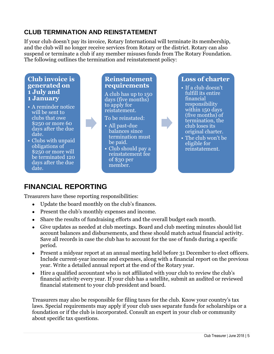### **CLUB TERMINATION AND REINSTATEMENT**

If your club doesn't pay its invoice, Rotary International will terminate its membership, and the club will no longer receive services from Rotary or the district. Rotary can also suspend or terminate a club if any member misuses funds from The Rotary Foundation. The following outlines the termination and reinstatement policy:

#### **Club invoice is generated on 1 July and 1 January**

- A reminder notice will be sent to clubs that owe \$250 or more 60 days after the due date.
- Clubs with unpaid obligations of \$250 or more will be terminated 120 days after the due date.

#### **Reinstatement requirements**

A club has up to 150 days (five months) to apply for reistatement.

#### To be reinstated:

- All past-due balances since termination must be paid.
- Club should pay a reinstatement fee of \$30 per member.

### **Loss of charter**

- If a club doesn't fulfill its entire financial responsibility within 150 days (five months) of termination, the club loses its original charter.
- The club won't be eligible for reinstatement.

### **FINANCIAL REPORTING**

Treasurers have these reporting responsibilities:

- Update the board monthly on the club's finances.
- Present the club's monthly expenses and income.
- Share the results of fundraising efforts and the overall budget each month.
- Give updates as needed at club meetings. Board and club meeting minutes should list account balances and disbursements, and these should match actual financial activity. Save all records in case the club has to account for the use of funds during a specific period.
- Present a midyear report at an annual meeting held before 31 December to elect officers. Include current-year income and expenses, along with a financial report on the previous year. Write a detailed annual report at the end of the Rotary year.
- Hire a qualified accountant who is not affiliated with your club to review the club's financial activity every year. If your club has a satellite, submit an audited or reviewed financial statement to your club president and board.

Treasurers may also be responsible for filing taxes for the club. Know your country's tax laws. Special requirements may apply if your club uses separate funds for scholarships or a foundation or if the club is incorporated. Consult an expert in your club or community about specific tax questions.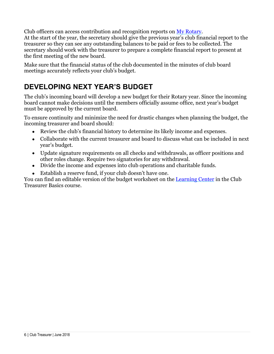Club officers can access contribution and recognition reports on [My Rotary.](https://my.rotary.org/en) At the start of the year, the secretary should give the previous year's club financial report to the treasurer so they can see any outstanding balances to be paid or fees to be collected. The

secretary should work with the treasurer to prepare a complete financial report to present at the first meeting of the new board.

Make sure that the financial status of the club documented in the minutes of club board meetings accurately reflects your club's budget.

## **DEVELOPING NEXT YEAR'S BUDGET**

The club's incoming board will develop a new budget for their Rotary year. Since the incoming board cannot make decisions until the members officially assume office, next year's budget must be approved by the current board.

To ensure continuity and minimize the need for drastic changes when planning the budget, the incoming treasurer and board should:

- Review the club's financial history to determine its likely income and expenses.
- Collaborate with the current treasurer and board to discuss what can be included in next year's budget.
- Update signature requirements on all checks and withdrawals, as officer positions and other roles change. Require two signatories for any withdrawal.
- Divide the income and expenses into club operations and charitable funds.
- Establish a reserve fund, if your club doesn't have one.

You can find an editable version of the budget worksheet on the [Learning Center](file://///RI-FS13/RotaryShared/SME%20Edits/Club%20Committee%20Course%20Materials/Club%20Treasurer/EN/COL%20Changes%202019/Rotary.org/learn) in the Club Treasurer Basics course.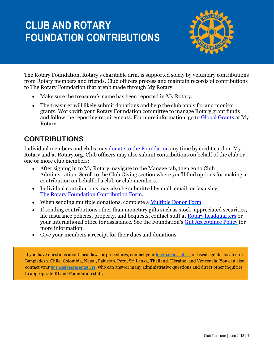# **CLUB AND ROTARY FOUNDATION CONTRIBUTIONS**



The Rotary Foundation, Rotary's charitable arm, is supported solely by voluntary contributions from Rotary members and friends. Club officers process and maintain records of contributions to The Rotary Foundation that aren't made through My Rotary.

- Make sure the treasurer's name has been reported in My Rotary.
- The treasurer will likely submit donations and help the club apply for and monitor grants. Work with your Rotary Foundation committee to manage Rotary grant funds and follow the reporting requirements. For more information, go to [Global Grants](https://my.rotary.org/en/take-action/apply-grants/global-grants) at My Rotary.

### **CONTRIBUTIONS**

Individual members and clubs may [donate to the Foundation](https://www.rotary.org/en/donate) any time by credit card on My Rotary and at Rotary.org. Club officers may also submit contributions on behalf of the club or one or more club members:

- After signing in to My Rotary, navigate to the Manage tab, then go to Club Administration. Scroll to the Club Giving section where you'll find options for making a contribution on behalf of a club or club members.
- Individual contributions may also be submitted by mail, email, or fax using [The Rotary Foundation Contribution Form.](https://www.rotary.org/myrotary/en/document/469)
- When sending multiple donations, complete a [Multiple Donor Form.](https://www.rotary.org/myrotary/en/document/10636)
- If sending contributions other than monetary gifts such as stock, appreciated securities, life insurance policies, property, and bequests, contact staff at [Rotary headquarters](https://my.rotary.org/en/contact/representatives) or your international office for assistance. See the Foundation's [Gift Acceptance Policy](https://www.rotary.org/myrotary/en/document/10936) for more information.
- Give your members a receipt for their dues and donations.

If you have questions about local laws or procedures, contact your [international office](https://www.rotary.org/myrotary/en/international-offices-0) or fiscal agents, located in Bangladesh, Chile, Colombia, Nepal, Pakistan, Peru, Sri Lanka, Thailand, Ukraine, and Venezuela. You can also contact your [financial representatives](https://www.rotary.org/myrotary/en/contact/representatives), who can answer many administrative questions and direct other inquiries to appropriate RI and Foundation staff.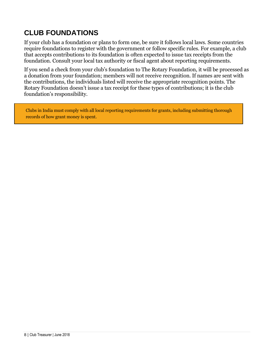## **CLUB FOUNDATIONS**

If your club has a foundation or plans to form one, be sure it follows local laws. Some countries require foundations to register with the government or follow specific rules. For example, a club that accepts contributions to its foundation is often expected to issue tax receipts from the foundation. Consult your local tax authority or fiscal agent about reporting requirements.

If you send a check from your club's foundation to The Rotary Foundation, it will be processed as a donation from your foundation; members will not receive recognition. If names are sent with the contributions, the individuals listed will receive the appropriate recognition points. The Rotary Foundation doesn't issue a tax receipt for these types of contributions; it is the club foundation's responsibility.

Clubs in India must comply with all local reporting requirements for grants, including submitting thorough records of how grant money is spent.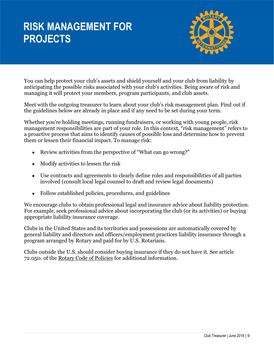## **RISK MANAGEMENT FOR PROJECTS**



You can help protect your club's assets and shield yourself and your club from liability by anticipating the possible risks associated with your club's activities. Being aware of risk and managing it will protect your members, program participants, and club assets.

Meet with the outgoing treasurer to learn about your club's risk management plan. Find out if the guidelines below are already in place and if any need to be set during your term.

Whether you're holding meetings, running fundraisers, or working with young people, risk management responsibilities are part of your role. In this context, "risk management" refers to a proactive process that aims to identify causes of possible loss and determine how to prevent them or lessen their financial impact. To manage risk:

- Review activities from the perspective of "What can go wrong?"
- Modify activities to lessen the risk
- Use contracts and agreements to clearly define roles and responsibilities of all parties involved (consult local legal counsel to draft and review legal documents)
- Follow established policies, procedures, and guidelines

We encourage clubs to obtain professional legal and insurance advice about liability protection. For example, seek professional advice about incorporating the club (or its activities) or buying appropriate liability insurance coverage.

Clubs in the United States and its territories and possessions are automatically covered by general liability and directors and officers/employment practices liability insurance through a program arranged by Rotary and paid for by U.S. Rotarians.

Clubs outside the U.S. should consider buying insurance if they do not have it. See article 72.050. of the [Rotary Code of Policies](https://my.rotary.org/en/document/rotary-code-policies) for additional information.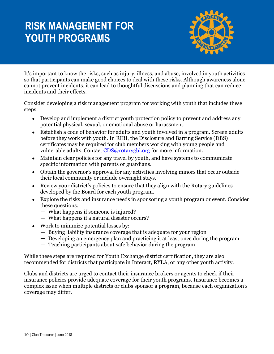# **RISK MANAGEMENT FOR YOUTH PROGRAMS**



It's important to know the risks, such as injury, illness, and abuse, involved in youth activities so that participants can make good choices to deal with these risks. Although awareness alone cannot prevent incidents, it can lead to thoughtful discussions and planning that can reduce incidents and their effects.

Consider developing a risk management program for working with youth that includes these steps:

- Develop and implement a district youth protection policy to prevent and address any potential physical, sexual, or emotional abuse or harassment.
- Establish a code of behavior for adults and youth involved in a program. Screen adults before they work with youth. In RIBI, the Disclosure and Barring Service (DBS) certificates may be required for club members working with young people and vulnerable adults. Contact [CDS@rotarygbi.org](mailto:CDS@rotarygbi.org) for more information.
- Maintain clear policies for any travel by youth, and have systems to communicate specific information with parents or guardians.
- Obtain the governor's approval for any activities involving minors that occur outside their local community or include overnight stays.
- Review your district's policies to ensure that they align with the Rotary guidelines developed by the Board for each youth program.
- Explore the risks and insurance needs in sponsoring a youth program or event. Consider these questions:
	- What happens if someone is injured?
	- What happens if a natural disaster occurs?
- Work to minimize potential losses by:
	- Buying liability insurance coverage that is adequate for your region
	- Developing an emergency plan and practicing it at least once during the program
	- Teaching participants about safe behavior during the program

While these steps are required for Youth Exchange district certification, they are also recommended for districts that participate in Interact, RYLA, or any other youth activity.

Clubs and districts are urged to contact their insurance brokers or agents to check if their insurance policies provide adequate coverage for their youth programs. Insurance becomes a complex issue when multiple districts or clubs sponsor a program, because each organization's coverage may differ.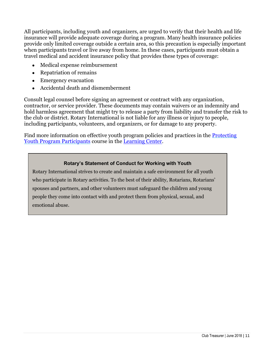All participants, including youth and organizers, are urged to verify that their health and life insurance will provide adequate coverage during a program. Many health insurance policies provide only limited coverage outside a certain area, so this precaution is especially important when participants travel or live away from home. In these cases, participants must obtain a travel medical and accident insurance policy that provides these types of coverage:

- Medical expense reimbursement
- Repatriation of remains
- Emergency evacuation
- Accidental death and dismemberment

Consult legal counsel before signing an agreement or contract with any organization, contractor, or service provider. These documents may contain waivers or an indemnity and hold harmless agreement that might try to release a party from liability and transfer the risk to the club or district. Rotary International is not liable for any illness or injury to people, including participants, volunteers, and organizers, or for damage to any property.

Find more information on effective youth program policies and practices in the [Protecting](https://my.rotary.org/learn?deep-link=https%3A//learn.rotary.org/members/learn/course/internal/view/elearning/422/protecting-youth-program-participants)  [Youth Program Participants](https://my.rotary.org/learn?deep-link=https%3A//learn.rotary.org/members/learn/course/internal/view/elearning/422/protecting-youth-program-participants) course in the [Learning Center.](file://///ri-fs13/Learning%20and%20Development/publications%20and%20courses/0_Courses/Club%20Officer%20Courses/Treasurer/CT_Managing%20Club%20Finances/EN/Rotary.org/learn)

#### **Rotary's Statement of Conduct for Working with Youth**

Rotary International strives to create and maintain a safe environment for all youth who participate in Rotary activities. To the best of their ability, Rotarians, Rotarians' spouses and partners, and other volunteers must safeguard the children and young people they come into contact with and protect them from physical, sexual, and emotional abuse.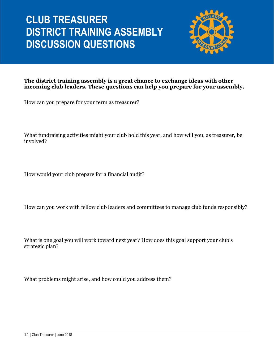# **CLUB TREASURER DISTRICT TRAINING ASSEMBLY DISCUSSION QUESTIONS**



**The district training assembly is a great chance to exchange ideas with other incoming club leaders. These questions can help you prepare for your assembly.**

How can you prepare for your term as treasurer?

What fundraising activities might your club hold this year, and how will you, as treasurer, be involved?

How would your club prepare for a financial audit?

How can you work with fellow club leaders and committees to manage club funds responsibly?

What is one goal you will work toward next year? How does this goal support your club's strategic plan?

What problems might arise, and how could you address them?